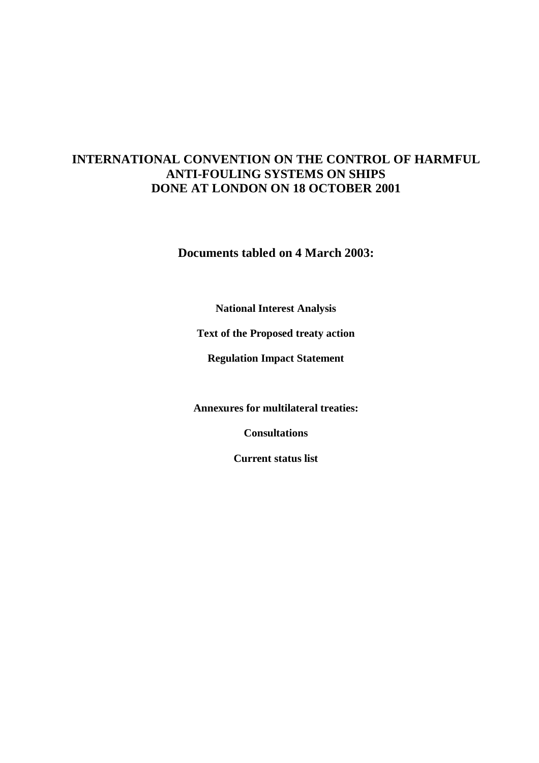# **INTERNATIONAL CONVENTION ON THE CONTROL OF HARMFUL ANTI-FOULING SYSTEMS ON SHIPS DONE AT LONDON ON 18 OCTOBER 2001**

**Documents tabled on 4 March 2003:** 

**National Interest Analysis** 

**Text of the Proposed treaty action** 

**Regulation Impact Statement** 

**Annexures for multilateral treaties:** 

**Consultations** 

**Current status list**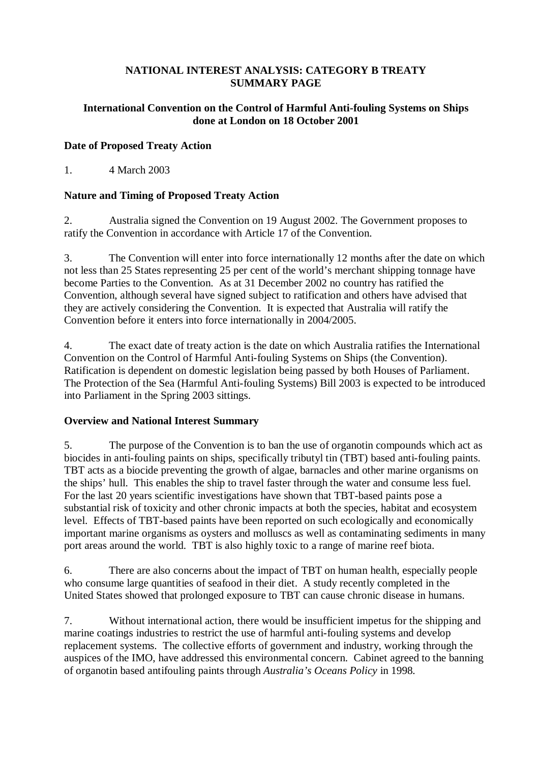#### **NATIONAL INTEREST ANALYSIS: CATEGORY B TREATY SUMMARY PAGE**

#### **International Convention on the Control of Harmful Anti-fouling Systems on Ships done at London on 18 October 2001**

#### **Date of Proposed Treaty Action**

1. 4 March 2003

### **Nature and Timing of Proposed Treaty Action**

2. Australia signed the Convention on 19 August 2002. The Government proposes to ratify the Convention in accordance with Article 17 of the Convention.

3. The Convention will enter into force internationally 12 months after the date on which not less than 25 States representing 25 per cent of the world's merchant shipping tonnage have become Parties to the Convention. As at 31 December 2002 no country has ratified the Convention, although several have signed subject to ratification and others have advised that they are actively considering the Convention. It is expected that Australia will ratify the Convention before it enters into force internationally in 2004/2005.

4. The exact date of treaty action is the date on which Australia ratifies the International Convention on the Control of Harmful Anti-fouling Systems on Ships (the Convention). Ratification is dependent on domestic legislation being passed by both Houses of Parliament. The Protection of the Sea (Harmful Anti-fouling Systems) Bill 2003 is expected to be introduced into Parliament in the Spring 2003 sittings.

#### **Overview and National Interest Summary**

5. The purpose of the Convention is to ban the use of organotin compounds which act as biocides in anti-fouling paints on ships, specifically tributyl tin (TBT) based anti-fouling paints. TBT acts as a biocide preventing the growth of algae, barnacles and other marine organisms on the ships' hull. This enables the ship to travel faster through the water and consume less fuel. For the last 20 years scientific investigations have shown that TBT-based paints pose a substantial risk of toxicity and other chronic impacts at both the species, habitat and ecosystem level. Effects of TBT-based paints have been reported on such ecologically and economically important marine organisms as oysters and molluscs as well as contaminating sediments in many port areas around the world. TBT is also highly toxic to a range of marine reef biota.

6. There are also concerns about the impact of TBT on human health, especially people who consume large quantities of seafood in their diet. A study recently completed in the United States showed that prolonged exposure to TBT can cause chronic disease in humans.

7. Without international action, there would be insufficient impetus for the shipping and marine coatings industries to restrict the use of harmful anti-fouling systems and develop replacement systems. The collective efforts of government and industry, working through the auspices of the IMO, have addressed this environmental concern. Cabinet agreed to the banning of organotin based antifouling paints through *Australia's Oceans Policy* in 1998*.*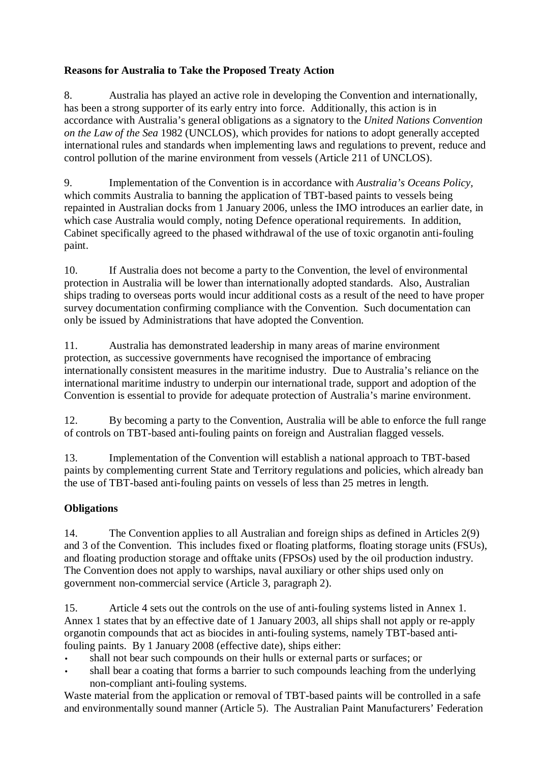## **Reasons for Australia to Take the Proposed Treaty Action**

8. Australia has played an active role in developing the Convention and internationally, has been a strong supporter of its early entry into force. Additionally, this action is in accordance with Australia's general obligations as a signatory to the *United Nations Convention on the Law of the Sea* 1982 (UNCLOS), which provides for nations to adopt generally accepted international rules and standards when implementing laws and regulations to prevent, reduce and control pollution of the marine environment from vessels (Article 211 of UNCLOS).

9. Implementation of the Convention is in accordance with *Australia's Oceans Policy,* which commits Australia to banning the application of TBT-based paints to vessels being repainted in Australian docks from 1 January 2006, unless the IMO introduces an earlier date, in which case Australia would comply, noting Defence operational requirements. In addition, Cabinet specifically agreed to the phased withdrawal of the use of toxic organotin anti-fouling paint.

10. If Australia does not become a party to the Convention, the level of environmental protection in Australia will be lower than internationally adopted standards. Also, Australian ships trading to overseas ports would incur additional costs as a result of the need to have proper survey documentation confirming compliance with the Convention. Such documentation can only be issued by Administrations that have adopted the Convention.

11. Australia has demonstrated leadership in many areas of marine environment protection, as successive governments have recognised the importance of embracing internationally consistent measures in the maritime industry. Due to Australia's reliance on the international maritime industry to underpin our international trade, support and adoption of the Convention is essential to provide for adequate protection of Australia's marine environment.

12. By becoming a party to the Convention, Australia will be able to enforce the full range of controls on TBT-based anti-fouling paints on foreign and Australian flagged vessels.

13. Implementation of the Convention will establish a national approach to TBT-based paints by complementing current State and Territory regulations and policies, which already ban the use of TBT-based anti-fouling paints on vessels of less than 25 metres in length.

## **Obligations**

14. The Convention applies to all Australian and foreign ships as defined in Articles 2(9) and 3 of the Convention. This includes fixed or floating platforms, floating storage units (FSUs), and floating production storage and offtake units (FPSOs) used by the oil production industry. The Convention does not apply to warships, naval auxiliary or other ships used only on government non-commercial service (Article 3, paragraph 2).

15. Article 4 sets out the controls on the use of anti-fouling systems listed in Annex 1. Annex 1 states that by an effective date of 1 January 2003, all ships shall not apply or re-apply organotin compounds that act as biocides in anti-fouling systems, namely TBT-based antifouling paints. By 1 January 2008 (effective date), ships either:

- shall not bear such compounds on their hulls or external parts or surfaces; or
- shall bear a coating that forms a barrier to such compounds leaching from the underlying non-compliant anti-fouling systems.

Waste material from the application or removal of TBT-based paints will be controlled in a safe and environmentally sound manner (Article 5). The Australian Paint Manufacturers' Federation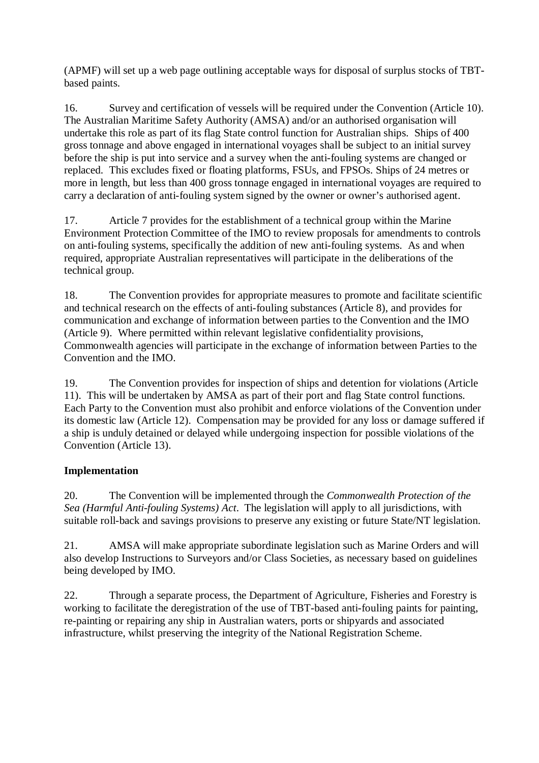(APMF) will set up a web page outlining acceptable ways for disposal of surplus stocks of TBTbased paints.

16. Survey and certification of vessels will be required under the Convention (Article 10). The Australian Maritime Safety Authority (AMSA) and/or an authorised organisation will undertake this role as part of its flag State control function for Australian ships. Ships of 400 gross tonnage and above engaged in international voyages shall be subject to an initial survey before the ship is put into service and a survey when the anti-fouling systems are changed or replaced. This excludes fixed or floating platforms, FSUs, and FPSOs. Ships of 24 metres or more in length, but less than 400 gross tonnage engaged in international voyages are required to carry a declaration of anti-fouling system signed by the owner or owner's authorised agent.

17. Article 7 provides for the establishment of a technical group within the Marine Environment Protection Committee of the IMO to review proposals for amendments to controls on anti-fouling systems, specifically the addition of new anti-fouling systems. As and when required, appropriate Australian representatives will participate in the deliberations of the technical group.

18. The Convention provides for appropriate measures to promote and facilitate scientific and technical research on the effects of anti-fouling substances (Article 8), and provides for communication and exchange of information between parties to the Convention and the IMO (Article 9). Where permitted within relevant legislative confidentiality provisions, Commonwealth agencies will participate in the exchange of information between Parties to the Convention and the IMO.

19. The Convention provides for inspection of ships and detention for violations (Article 11). This will be undertaken by AMSA as part of their port and flag State control functions. Each Party to the Convention must also prohibit and enforce violations of the Convention under its domestic law (Article 12). Compensation may be provided for any loss or damage suffered if a ship is unduly detained or delayed while undergoing inspection for possible violations of the Convention (Article 13).

## **Implementation**

20. The Convention will be implemented through the *Commonwealth Protection of the Sea (Harmful Anti-fouling Systems) Act*. The legislation will apply to all jurisdictions, with suitable roll-back and savings provisions to preserve any existing or future State/NT legislation.

21. AMSA will make appropriate subordinate legislation such as Marine Orders and will also develop Instructions to Surveyors and/or Class Societies, as necessary based on guidelines being developed by IMO.

22. Through a separate process, the Department of Agriculture, Fisheries and Forestry is working to facilitate the deregistration of the use of TBT-based anti-fouling paints for painting, re-painting or repairing any ship in Australian waters, ports or shipyards and associated infrastructure, whilst preserving the integrity of the National Registration Scheme.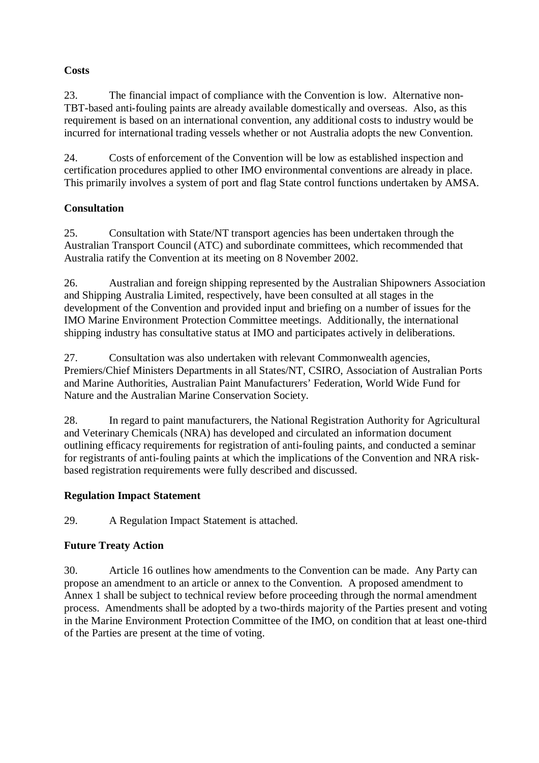## **Costs**

23. The financial impact of compliance with the Convention is low. Alternative non-TBT-based anti-fouling paints are already available domestically and overseas. Also, as this requirement is based on an international convention, any additional costs to industry would be incurred for international trading vessels whether or not Australia adopts the new Convention.

24. Costs of enforcement of the Convention will be low as established inspection and certification procedures applied to other IMO environmental conventions are already in place. This primarily involves a system of port and flag State control functions undertaken by AMSA.

## **Consultation**

25. Consultation with State/NT transport agencies has been undertaken through the Australian Transport Council (ATC) and subordinate committees, which recommended that Australia ratify the Convention at its meeting on 8 November 2002.

26. Australian and foreign shipping represented by the Australian Shipowners Association and Shipping Australia Limited, respectively, have been consulted at all stages in the development of the Convention and provided input and briefing on a number of issues for the IMO Marine Environment Protection Committee meetings. Additionally, the international shipping industry has consultative status at IMO and participates actively in deliberations.

27. Consultation was also undertaken with relevant Commonwealth agencies, Premiers/Chief Ministers Departments in all States/NT, CSIRO, Association of Australian Ports and Marine Authorities, Australian Paint Manufacturers' Federation, World Wide Fund for Nature and the Australian Marine Conservation Society.

28. In regard to paint manufacturers, the National Registration Authority for Agricultural and Veterinary Chemicals (NRA) has developed and circulated an information document outlining efficacy requirements for registration of anti-fouling paints, and conducted a seminar for registrants of anti-fouling paints at which the implications of the Convention and NRA riskbased registration requirements were fully described and discussed.

## **Regulation Impact Statement**

29. A Regulation Impact Statement is attached.

## **Future Treaty Action**

30. Article 16 outlines how amendments to the Convention can be made. Any Party can propose an amendment to an article or annex to the Convention. A proposed amendment to Annex 1 shall be subject to technical review before proceeding through the normal amendment process. Amendments shall be adopted by a two-thirds majority of the Parties present and voting in the Marine Environment Protection Committee of the IMO, on condition that at least one-third of the Parties are present at the time of voting.